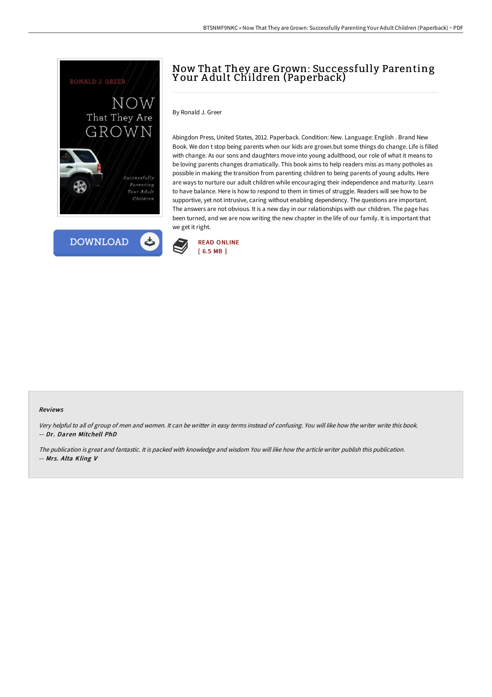



# Now That They are Grown: Successfully Parenting Y our A dult Children (Paperback)

By Ronald J. Greer

Abingdon Press, United States, 2012. Paperback. Condition: New. Language: English . Brand New Book. We don t stop being parents when our kids are grown.but some things do change. Life is filled with change. As our sons and daughters move into young adulthood, our role of what it means to be loving parents changes dramatically. This book aims to help readers miss as many potholes as possible in making the transition from parenting children to being parents of young adults. Here are ways to nurture our adult children while encouraging their independence and maturity. Learn to have balance. Here is how to respond to them in times of struggle. Readers will see how to be supportive, yet not intrusive, caring without enabling dependency. The questions are important. The answers are not obvious. It is a new day in our relationships with our children. The page has been turned, and we are now writing the new chapter in the life of our family. It is important that we get it right.



#### Reviews

Very helpful to all of group of men and women. It can be writter in easy terms instead of confusing. You will like how the writer write this book. -- Dr. Daren Mitchell PhD

The publication is great and fantastic. It is packed with knowledge and wisdom You will like how the article writer publish this publication. -- Mrs. Alta Kling V